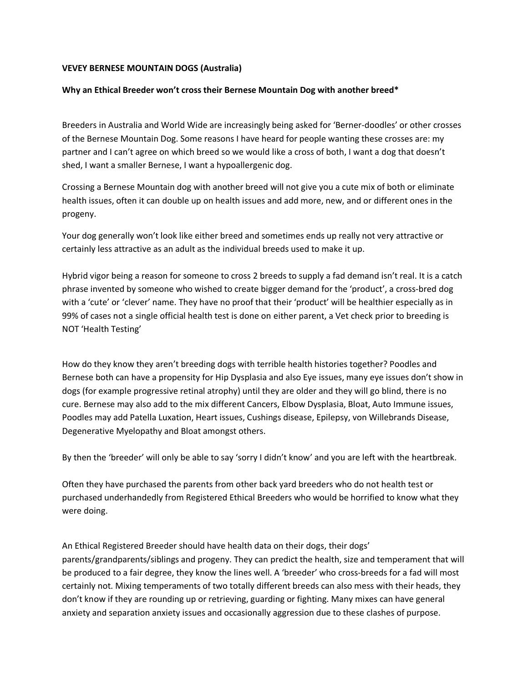## **VEVEY BERNESE MOUNTAIN DOGS (Australia)**

## **Why an Ethical Breeder won't cross their Bernese Mountain Dog with another breed\***

Breeders in Australia and World Wide are increasingly being asked for 'Berner-doodles' or other crosses of the Bernese Mountain Dog. Some reasons I have heard for people wanting these crosses are: my partner and I can't agree on which breed so we would like a cross of both, I want a dog that doesn't shed, I want a smaller Bernese, I want a hypoallergenic dog.

Crossing a Bernese Mountain dog with another breed will not give you a cute mix of both or eliminate health issues, often it can double up on health issues and add more, new, and or different ones in the progeny.

Your dog generally won't look like either breed and sometimes ends up really not very attractive or certainly less attractive as an adult as the individual breeds used to make it up.

Hybrid vigor being a reason for someone to cross 2 breeds to supply a fad demand isn't real. It is a catch phrase invented by someone who wished to create bigger demand for the 'product', a cross-bred dog with a 'cute' or 'clever' name. They have no proof that their 'product' will be healthier especially as in 99% of cases not a single official health test is done on either parent, a Vet check prior to breeding is NOT 'Health Testing'

How do they know they aren't breeding dogs with terrible health histories together? Poodles and Bernese both can have a propensity for Hip Dysplasia and also Eye issues, many eye issues don't show in dogs (for example progressive retinal atrophy) until they are older and they will go blind, there is no cure. Bernese may also add to the mix different Cancers, Elbow Dysplasia, Bloat, Auto Immune issues, Poodles may add Patella Luxation, Heart issues, Cushings disease, Epilepsy, von Willebrands Disease, Degenerative Myelopathy and Bloat amongst others.

By then the 'breeder' will only be able to say 'sorry I didn't know' and you are left with the heartbreak.

Often they have purchased the parents from other back yard breeders who do not health test or purchased underhandedly from Registered Ethical Breeders who would be horrified to know what they were doing.

An Ethical Registered Breeder should have health data on their dogs, their dogs' parents/grandparents/siblings and progeny. They can predict the health, size and temperament that will be produced to a fair degree, they know the lines well. A 'breeder' who cross-breeds for a fad will most certainly not. Mixing temperaments of two totally different breeds can also mess with their heads, they don't know if they are rounding up or retrieving, guarding or fighting. Many mixes can have general anxiety and separation anxiety issues and occasionally aggression due to these clashes of purpose.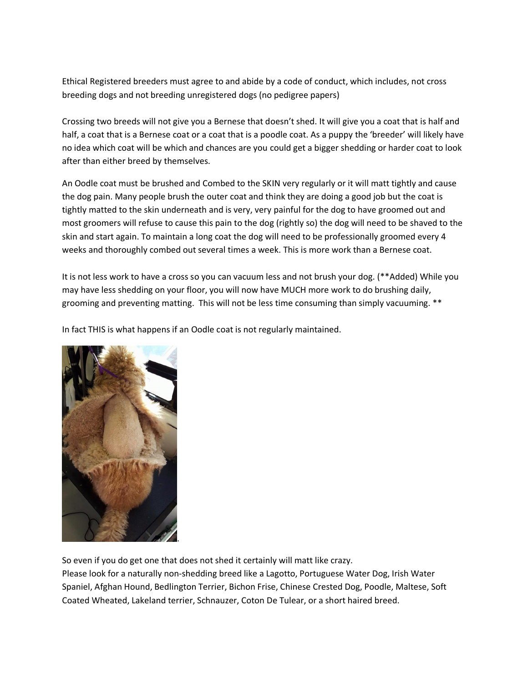Ethical Registered breeders must agree to and abide by a code of conduct, which includes, not cross breeding dogs and not breeding unregistered dogs (no pedigree papers)

Crossing two breeds will not give you a Bernese that doesn't shed. It will give you a coat that is half and half, a coat that is a Bernese coat or a coat that is a poodle coat. As a puppy the 'breeder' will likely have no idea which coat will be which and chances are you could get a bigger shedding or harder coat to look after than either breed by themselves.

An Oodle coat must be brushed and Combed to the SKIN very regularly or it will matt tightly and cause the dog pain. Many people brush the outer coat and think they are doing a good job but the coat is tightly matted to the skin underneath and is very, very painful for the dog to have groomed out and most groomers will refuse to cause this pain to the dog (rightly so) the dog will need to be shaved to the skin and start again. To maintain a long coat the dog will need to be professionally groomed every 4 weeks and thoroughly combed out several times a week. This is more work than a Bernese coat.

It is not less work to have a cross so you can vacuum less and not brush your dog. (\*\*Added) While you may have less shedding on your floor, you will now have MUCH more work to do brushing daily, grooming and preventing matting. This will not be less time consuming than simply vacuuming. \*\*

In fact THIS is what happens if an Oodle coat is not regularly maintained.



So even if you do get one that does not shed it certainly will matt like crazy.

Please look for a naturally non-shedding breed like a Lagotto, Portuguese Water Dog, Irish Water Spaniel, Afghan Hound, Bedlington Terrier, Bichon Frise, Chinese Crested Dog, Poodle, Maltese, Soft Coated Wheated, Lakeland terrier, Schnauzer, Coton De Tulear, or a short haired breed.